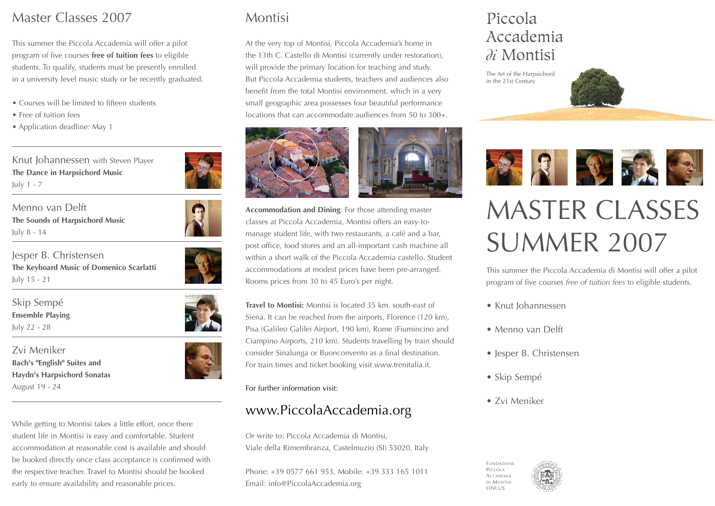## Master Classes 2007

This summer the Piccola Accademia will offer a pilot program of five courses **free of tuition fees** to eligible students. To qualify, students must be presently enrolled in a university level music study or be recently graduated.

- Courses will be limited to fifteen students
- Free of tuition fees
- Application deadline: May 1

Knut Johannessen with Steven Player **The Dance in Harpsichord Music** July 1 - 7

Menno van Delft **The Sounds of Harpsichord Music** July 8 - 14

Jesper B. Christensen **The Keyboard Music of Domenico Scarlatti**  July 15 - 21

Skip Sempé **Ensemble Playing** July 22 - 28

Zvi Meniker **Bach's "English" Suites and Haydn's Harpsichord Sonatas** August 19 - 24

While getting to Montisi takes a little effort, once there student life in Montisi is easy and comfortable. Student accommodation at reasonable cost is available and should be booked directly once class acceptance is confirmed with the respective teacher. Travel to Montisi should be booked early to ensure availability and reasonable prices.

# Montisi

At the very top of Montisi, Piccola Accademia's home in the 13th C. Castello di Montisi (currently under restoration), will provide the primary location for teaching and study. But Piccola Accademia students, teachers and audiences also benefit from the total Montisi environment, which in a very small geographic area possesses four beautiful performance locations that can accommodate audiences from 50 to 300+.





**Accommodation and Dining**: For those attending master classes at Piccola Accademia, Montisi offers an easy-tomanage student life, with two restaurants, a café and a bar, post office, food stores and an all-important cash machine all within a short walk of the Piccola Accademia castello. Student accommodations at modest prices have been pre-arranged. Rooms prices from 30 to 45 Euro's per night.

**Travel to Montisi:** Montisi is located 35 km. south-east of Siena. It can be reached from the airports, Florence (120 km), Pisa (Galileo Galilei Airport, 190 km), Rome (Fiumincino and Ciampino Airports, 210 km). Students travelling by train should consider Sinalunga or Buonconvento as a final destination. For train times and ticket booking visit www.trenitalia.it.

For further information visit:

# www.PiccolaAccademia.org

Or write to: Piccola Accademia di Montisi, Viale della Rimembranza, Castelmuzio (SI) 53020, Italy

Phone: +39 0577 661 953, Mobile: +39 333 165 1011 Email: info@PiccolaAccademia.org

# Piccola Accademia *di* Montisi

The Art of the Harpsichord in the 21st Century



# MASTER CLASSES SUMMER 2007

This summer the Piccola Accademia di Montisi will offer a pilot program of five courses *free of tuition fees* to eligible students.

- Knut Johannessen
- Menno van Delft
- Jesper B. Christensen
- Skip Sempé
- Zvi Meniker

FONDAZIONE PICCOLA **ACCADEMIA** DI MONTISI ONLUS